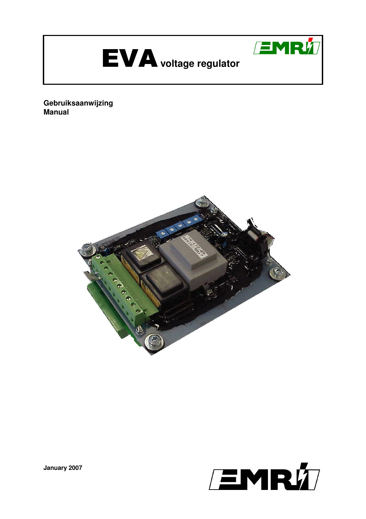

**Gebruiksaanwijzing Manual** 





**January 2007**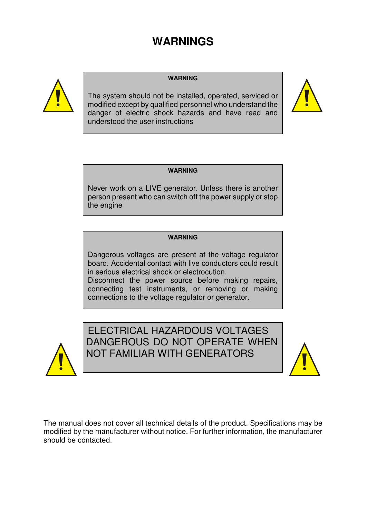# **WARNINGS**



#### **WARNING**

The system should not be installed, operated, serviced or modified except by qualified personnel who understand the danger of electric shock hazards and have read and understood the user instructions



#### **WARNING**

Never work on a LIVE generator. Unless there is another person present who can switch off the power supply or stop the engine

#### **WARNING**

Dangerous voltages are present at the voltage regulator board. Accidental contact with live conductors could result in serious electrical shock or electrocution.

Disconnect the power source before making repairs, connecting test instruments, or removing or making connections to the voltage regulator or generator.



ELECTRICAL HAZARDOUS VOLTAGES DANGEROUS DO NOT OPERATE WHEN NOT FAMILIAR WITH GENERATORS



The manual does not cover all technical details of the product. Specifications may be modified by the manufacturer without notice. For further information, the manufacturer should be contacted.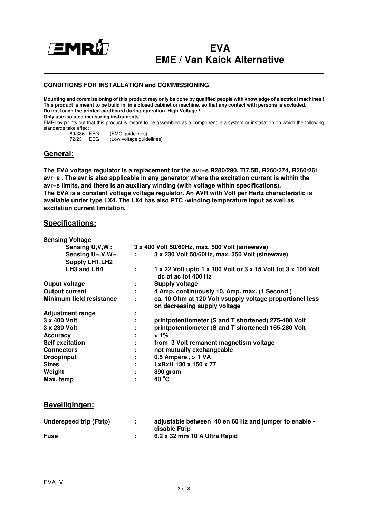

# **EVA EME / Van Kaick Alternative**

#### **CONDITIONS FOR INSTALLATION and COMMISSIONING**

**Mounting and commissioning of this product may only be done by qualified people with knowledge of electrical machines ! This product is meant to be build in, in a closed cabinet or machine, so that any contact with persons is excluded. Do not touch the printed cardboard during operation. High Voltage ! Only use isolated measuring instruments.** 

EMRI bv points out that this product is meant to be assembled as a component in a system or installation on which the following standards take effect :

| 89/336 EEG |     | (EMC guidelines)         |
|------------|-----|--------------------------|
| 72/23      | EEG | (Low voltage guidelines) |

## **General:**

**The EVA voltage regulator is a replacement for the avr**=**s R280/290, Ti7.5D, R260/274, R260/261 avr**=**s . The avr is also applicable in any generator where the excitation current is within the avr**=**s limits, and there is an auxiliary winding (with voltage within specifications). The EVA is a constant voltage voltage regulator. An AVR with Volt per Hertz characteristic is available under type LX4. The LX4 has also PTC -winding temperature input as well as excitation current limitation.**

#### **Specifications:**

| <b>Sensing Voltage</b>   |                                                |                                                                                          |  |
|--------------------------|------------------------------------------------|------------------------------------------------------------------------------------------|--|
| Sensing U,V,W:           | 3 x 400 Volt 50/60Hz, max. 500 Volt (sinewave) |                                                                                          |  |
| Sensing $U=$ , $V,W=$    | the con-                                       | 3 x 230 Volt 50/60Hz, max. 350 Volt (sinewave)                                           |  |
| <b>Supply LH1, LH2</b>   |                                                |                                                                                          |  |
| LH3 and LH4              | $\mathbf{r}$                                   | 1 x 22 Volt upto 1 x 100 Volt or 3 x 15 Volt tot 3 x 100 Volt<br>dc of ac tot 400 Hz     |  |
| Ouput voltage            | <b>Dealer</b>                                  | <b>Supply voltage</b>                                                                    |  |
| <b>Output current</b>    | <b>The Company</b>                             | 4 Amp. continuously 10, Amp. max. (1 Second)                                             |  |
| Minimum field resistance | ÷.                                             | ca. 10 Ohm at 120 Volt vsupply voltage proportionel less<br>on decreasing supply voltage |  |
| <b>Adjustment range</b>  |                                                |                                                                                          |  |
| 3 x 400 Volt             |                                                | printpotentiometer (S and T shortened) 275-480 Volt                                      |  |
| 3 x 230 Volt             | $\blacksquare$                                 | printpotentiometer (S and T shortened) 165-280 Volt                                      |  |
| <b>Accuracy</b>          | ٠.                                             | $< 1\%$                                                                                  |  |
| <b>Self excitation</b>   | ÷.                                             | from 3 Volt remanent magnetism voltage                                                   |  |
| <b>Connectors</b>        | ÷                                              | not mutually exchangeable                                                                |  |
| <b>Droopinput</b>        | ٠.                                             | 0.5 Ampère, > 1 VA                                                                       |  |
| <b>Sizes</b>             |                                                | LxBxH 130 x 150 x 77                                                                     |  |
| Weight                   | ٠.                                             | 890 gram                                                                                 |  |
| Max. temp                | ٠                                              | 40 °C                                                                                    |  |

#### **Beveiligingen:**

| Underspeed trip (Ftrip) | ÷. | adjustable between 40 en 60 Hz and jumper to enable - |
|-------------------------|----|-------------------------------------------------------|
|                         |    | disable Ftrip                                         |
| <b>Fuse</b>             |    | 6.2 x 32 mm 10 A Ultra Rapid                          |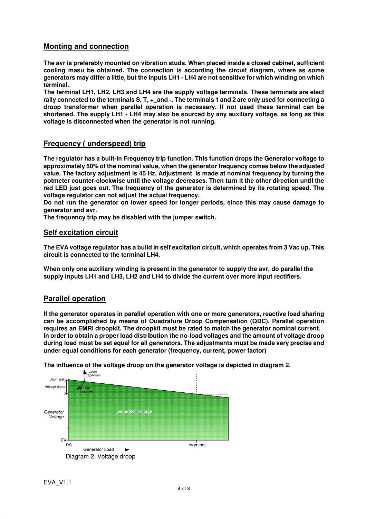## **Monting and connection**

**The avr is preferably mounted on vibration studs. When placed inside a closed cabinet, sufficient cooling masu be obtained. The connection is according the circuit diagram, where as some generators may differ a little, but the inputs LH1 - LH4 are not sensitive for which winding on which terminal.** 

**The terminal LH1, LH2, LH3 and LH4 are the supply voltage terminals. These terminals are elect**  rally connected to the terminals S, T,  $+$  and  $-$ . The terminals 1 and 2 are only used for connecting a **droop transformer when parallel operation is necessary. If not used these terminal can be shortened. The supply LH1 - LH4 may also be sourced by any auxiliary voltage, as long as this voltage is disconnected when the generator is not running.**

#### **Frequency ( underspeed) trip**

**The regulator has a built-in Frequency trip function. This function drops the Generator voltage to approximately 50% of the nominal value, when the generator frequency comes below the adjusted value. The factory adjustment is 45 Hz. Adjustment is made at nominal frequency by turning the potmeter counter-clockwise until the voltage decreases. Then turn it the other direction until the red LED just goes out. The frequency of the generator is determined by its rotating speed. The voltage regulator can not adjust the actual frequency.** 

**Do not run the generator on lower speed for longer periods, since this may cause damage to generator and avr.** 

**The frequency trip may be disabled with the jumper switch.**

#### **Self excitation circuit**

**The EVA voltage regulator has a build in self excitation circuit, which operates from 3 Vac up. This circuit is connected to the terminal LH4.** 

**When only one auxiliary winding is present in the generator to supply the avr, do parallel the supply inputs LH1 and LH3, LH2 and LH4 to divide the current over more input rectifiers.**

#### **Parallel operation**

**If the generator operates in parallel operation with one or more generators, reactive load sharing can be accomplished by means of Quadrature Droop Compensation (QDC). Parallel operation requires an EMRI droopkit. The droopkit must be rated to match the generator nominal current. In order to obtain a proper load distribution the no-load voltages and the amount of voltage droop during load must be set equal for all generators. The adjustments must be made very precise and under equal conditions for each generator (frequency, current, power factor)** 



**The influence of the voltage droop on the generator voltage is depicted in diagram 2.**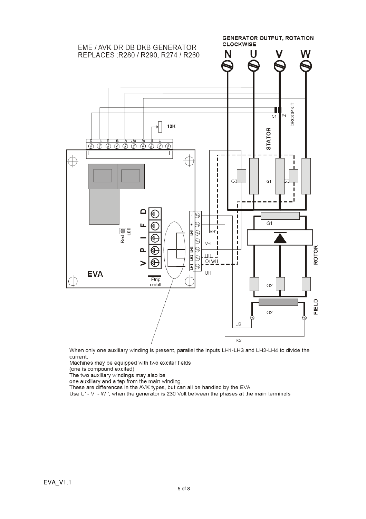

When only one auxiliary winding is present, parallel the inputs LH1-LH3 and LH2-LH4 to divide the current.

Machines may be equipped with two exciter fields

(one is compound excited)

The two auxiliary windings may also be

one auxiliary and a tap from the main winding.

These are differences in the AVK types, but can all be handled by the EVA

Use U' - V - W ', when the generator is 230 Volt between the phases at the main terminals